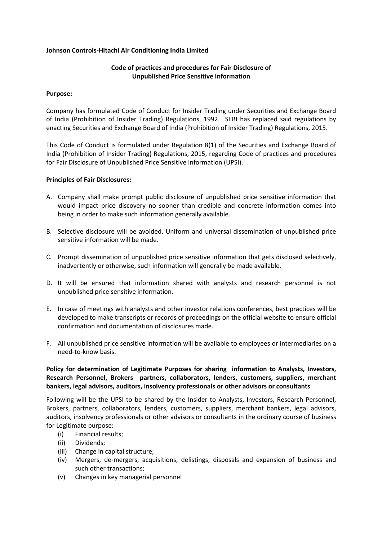### **Johnson Controls-Hitachi Air Conditioning India Limited**

## **Code of practices and procedures for Fair Disclosure of Unpublished Price Sensitive Information**

### **Purpose:**

Company has formulated Code of Conduct for Insider Trading under Securities and Exchange Board of India (Prohibition of Insider Trading) Regulations, 1992. SEBI has replaced said regulations by enacting Securities and Exchange Board of India (Prohibition of Insider Trading) Regulations, 2015.

This Code of Conduct is formulated under Regulation 8(1) of the Securities and Exchange Board of India (Prohibition of Insider Trading) Regulations, 2015, regarding Code of practices and procedures for Fair Disclosure of Unpublished Price Sensitive Information (UPSI).

#### **Principles of Fair Disclosures:**

- A. Company shall make prompt public disclosure of unpublished price sensitive information that would impact price discovery no sooner than credible and concrete information comes into being in order to make such information generally available.
- B. Selective disclosure will be avoided. Uniform and universal dissemination of unpublished price sensitive information will be made.
- C. Prompt dissemination of unpublished price sensitive information that gets disclosed selectively, inadvertently or otherwise, such information will generally be made available.
- D. It will be ensured that information shared with analysts and research personnel is not unpublished price sensitive information.
- E. In case of meetings with analysts and other investor relations conferences, best practices will be developed to make transcripts or records of proceedings on the official website to ensure official confirmation and documentation of disclosures made.
- F. All unpublished price sensitive information will be available to employees or intermediaries on a need-to-know basis.

# **Policy for determination of Legitimate Purposes for sharing information to Analysts, Investors, Research Personnel, Brokers partners, collaborators, lenders, customers, suppliers, merchant bankers, legal advisors, auditors, insolvency professionals or other advisors or consultants**

Following will be the UPSI to be shared by the Insider to Analysts, Investors, Research Personnel, Brokers, partners, collaborators, lenders, customers, suppliers, merchant bankers, legal advisors, auditors, insolvency professionals or other advisors or consultants in the ordinary course of business for Legitimate purpose:

- (i) Financial results;
- (ii) Dividends;
- (iii) Change in capital structure;
- (iv) Mergers, de-mergers, acquisitions, delistings, disposals and expansion of business and such other transactions;
- (v) Changes in key managerial personnel